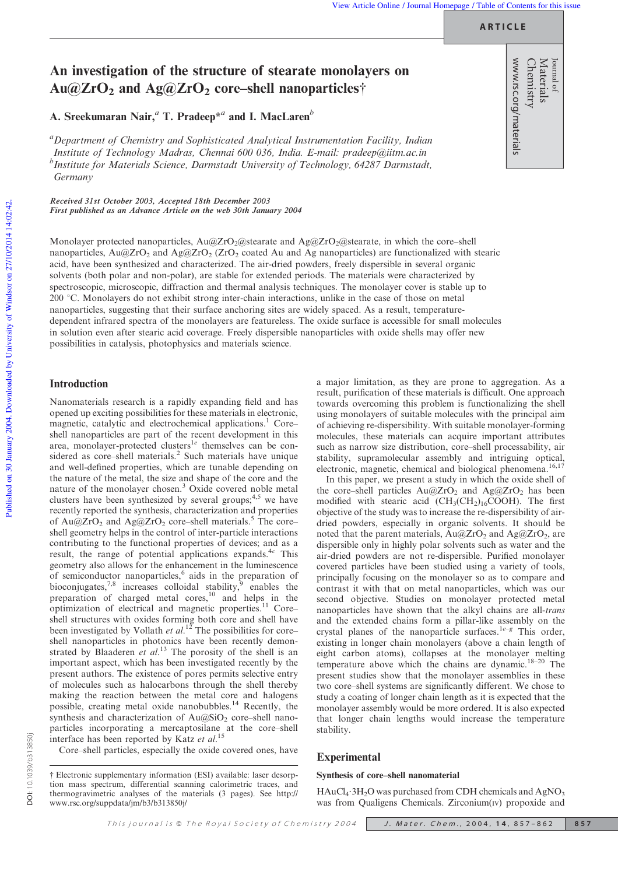**ARTICLE**

www.rsc.org/materials

Materials Journal of

# An investigation of the structure of stearate monolayers on  $Au@ZrO<sub>2</sub>$  and  $Ag@ZrO<sub>2</sub>$  core–shell nanoparticles<sup>†</sup>

A. Sreekumaran Nair,*<sup>a</sup>* T. Pradeep\**<sup>a</sup>* and I. MacLaren*<sup>b</sup>*

*<sup>a</sup>Department of Chemistry and Sophisticated Analytical Instrumentation Facility, Indian Institute of Technology Madras, Chennai 600 036, India. E-mail: pradeep@iitm.ac.in b Institute for Materials Science, Darmstadt University of Technology, 64287 Darmstadt, Germany*

Received 31st October 2003, Accepted 18th December 2003 First published as an Advance Article on the web 30th January 2004

Monolayer protected nanoparticles,  $Au@ZrO_2@$ stearate and  $Ag@ZrO_2@$ stearate, in which the core–shell nanoparticles,  $Au@ZrO<sub>2</sub>$  and  $Ag@ZrO<sub>2</sub>$  (ZrO<sub>2</sub> coated Au and Ag nanoparticles) are functionalized with stearic acid, have been synthesized and characterized. The air-dried powders, freely dispersible in several organic solvents (both polar and non-polar), are stable for extended periods. The materials were characterized by spectroscopic, microscopic, diffraction and thermal analysis techniques. The monolayer cover is stable up to 200 °C. Monolayers do not exhibit strong inter-chain interactions, unlike in the case of those on metal nanoparticles, suggesting that their surface anchoring sites are widely spaced. As a result, temperaturedependent infrared spectra of the monolayers are featureless. The oxide surface is accessible for small molecules in solution even after stearic acid coverage. Freely dispersible nanoparticles with oxide shells may offer new possibilities in catalysis, photophysics and materials science.

# Introduction

Nanomaterials research is a rapidly expanding field and has opened up exciting possibilities for these materials in electronic, magnetic, catalytic and electrochemical applications.<sup>1</sup> Core– shell nanoparticles are part of the recent development in this area, monolayer-protected clusters<sup>1e</sup> themselves can be considered as core–shell materials.<sup>2</sup> Such materials have unique and well-defined properties, which are tunable depending on the nature of the metal, the size and shape of the core and the nature of the monolayer chosen.<sup>3</sup> Oxide covered noble metal clusters have been synthesized by several groups;<sup>4,5</sup> we have recently reported the synthesis, characterization and properties of Au@ZrO<sub>2</sub> and Ag@ZrO<sub>2</sub> core–shell materials.<sup>5</sup> The core– shell geometry helps in the control of inter-particle interactions contributing to the functional properties of devices; and as a result, the range of potential applications expands.<sup>4c</sup> This geometry also allows for the enhancement in the luminescence of semiconductor nanoparticles, $6$  aids in the preparation of bioconjugates,<sup>7,8</sup> increases colloidal stability,  $\frac{1}{2}$  enables the preparation of charged metal cores,<sup>10</sup> and helps in the optimization of electrical and magnetic properties.<sup>11</sup> Core– shell structures with oxides forming both core and shell have been investigated by Vollath *et al.*<sup>12</sup> The possibilities for core– shell nanoparticles in photonics have been recently demonstrated by Blaaderen *et al*. <sup>13</sup> The porosity of the shell is an important aspect, which has been investigated recently by the present authors. The existence of pores permits selective entry of molecules such as halocarbons through the shell thereby making the reaction between the metal core and halogens possible, creating metal oxide nanobubbles.<sup>14</sup> Recently, the synthesis and characterization of  $Au@SiO<sub>2</sub>$  core–shell nanoparticles incorporating a mercaptosilane at the core–shell interface has been reported by Katz *et al*. 15

Core–shell particles, especially the oxide covered ones, have

a major limitation, as they are prone to aggregation. As a result, purification of these materials is difficult. One approach towards overcoming this problem is functionalizing the shell using monolayers of suitable molecules with the principal aim of achieving re-dispersibility. With suitable monolayer-forming molecules, these materials can acquire important attributes such as narrow size distribution, core–shell processability, air stability, supramolecular assembly and intriguing optical, electronic, magnetic, chemical and biological phenomena.<sup>16,17</sup>

In this paper, we present a study in which the oxide shell of the core–shell particles  $Au@ZrO<sub>2</sub>$  and  $Ag@ZrO<sub>2</sub>$  has been modified with stearic acid  $(CH<sub>3</sub>(CH<sub>2</sub>)<sub>16</sub>COOH)$ . The first objective of the study was to increase the re-dispersibility of airdried powders, especially in organic solvents. It should be noted that the parent materials,  $Au@ZrO<sub>2</sub>$  and  $Ag@ZrO<sub>2</sub>$ , are dispersible only in highly polar solvents such as water and the air-dried powders are not re-dispersible. Purified monolayer covered particles have been studied using a variety of tools, principally focusing on the monolayer so as to compare and contrast it with that on metal nanoparticles, which was our second objective. Studies on monolayer protected metal nanoparticles have shown that the alkyl chains are all-*trans* and the extended chains form a pillar-like assembly on the crystal planes of the nanoparticle surfaces.1*e*–*<sup>g</sup>* This order, existing in longer chain monolayers (above a chain length of eight carbon atoms), collapses at the monolayer melting temperature above which the chains are dynamic.18–20 The present studies show that the monolayer assemblies in these two core–shell systems are significantly different. We chose to study a coating of longer chain length as it is expected that the monolayer assembly would be more ordered. It is also expected that longer chain lengths would increase the temperature stability.

# Experimental

#### Synthesis of core–shell nanomaterial

HAuCl<sub>4</sub>·3H<sub>2</sub>O was purchased from CDH chemicals and AgNO<sub>3</sub> was from Qualigens Chemicals. Zirconium(IV) propoxide and

<sup>{</sup> Electronic supplementary information (ESI) available: laser desorption mass spectrum, differential scanning calorimetric traces, and thermogravimetric analyses of the materials (3 pages). See http:// www.rsc.org/suppdata/jm/b3/b313850j/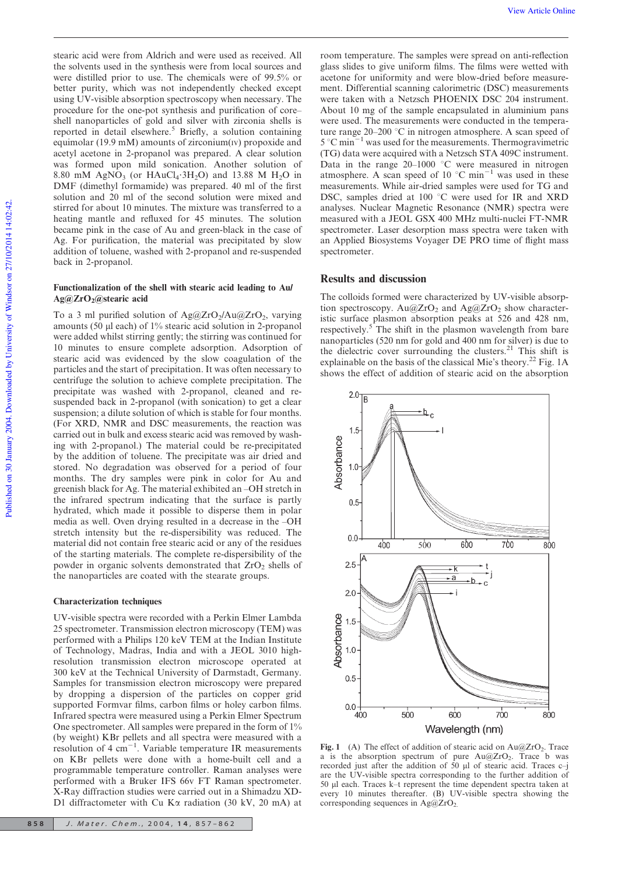stearic acid were from Aldrich and were used as received. All the solvents used in the synthesis were from local sources and were distilled prior to use. The chemicals were of 99.5% or better purity, which was not independently checked except using UV-visible absorption spectroscopy when necessary. The procedure for the one-pot synthesis and purification of core– shell nanoparticles of gold and silver with zirconia shells is reported in detail elsewhere.<sup>5</sup> Briefly, a solution containing equimolar (19.9 mM) amounts of zirconium(IV) propoxide and acetyl acetone in 2-propanol was prepared. A clear solution was formed upon mild sonication. Another solution of 8.80 mM AgNO<sub>3</sub> (or HAuCl<sub>4</sub> $\cdot$ 3H<sub>2</sub>O) and 13.88 M H<sub>2</sub>O in DMF (dimethyl formamide) was prepared. 40 ml of the first solution and 20 ml of the second solution were mixed and stirred for about 10 minutes. The mixture was transferred to a heating mantle and refluxed for 45 minutes. The solution became pink in the case of Au and green-black in the case of Ag. For purification, the material was precipitated by slow addition of toluene, washed with 2-propanol and re-suspended back in 2-propanol.

#### Functionalization of the shell with stearic acid leading to Au/  $Ag@ZrO<sub>2</sub>(a)$ stearic acid

To a 3 ml purified solution of  $Ag@ZrO_2/Au@ZrO_2$ , varying amounts (50  $\mu$ l each) of 1% stearic acid solution in 2-propanol were added whilst stirring gently; the stirring was continued for 10 minutes to ensure complete adsorption. Adsorption of stearic acid was evidenced by the slow coagulation of the particles and the start of precipitation. It was often necessary to centrifuge the solution to achieve complete precipitation. The precipitate was washed with 2-propanol, cleaned and resuspended back in 2-propanol (with sonication) to get a clear suspension; a dilute solution of which is stable for four months. (For XRD, NMR and DSC measurements, the reaction was carried out in bulk and excess stearic acid was removed by washing with 2-propanol.) The material could be re-precipitated by the addition of toluene. The precipitate was air dried and stored. No degradation was observed for a period of four months. The dry samples were pink in color for Au and greenish black for Ag. The material exhibited an –OH stretch in the infrared spectrum indicating that the surface is partly hydrated, which made it possible to disperse them in polar media as well. Oven drying resulted in a decrease in the –OH stretch intensity but the re-dispersibility was reduced. The material did not contain free stearic acid or any of the residues of the starting materials. The complete re-dispersibility of the powder in organic solvents demonstrated that ZrO<sub>2</sub> shells of the nanoparticles are coated with the stearate groups.

#### Characterization techniques

UV-visible spectra were recorded with a Perkin Elmer Lambda 25 spectrometer. Transmission electron microscopy (TEM) was performed with a Philips 120 keV TEM at the Indian Institute of Technology, Madras, India and with a JEOL 3010 highresolution transmission electron microscope operated at 300 keV at the Technical University of Darmstadt, Germany. Samples for transmission electron microscopy were prepared by dropping a dispersion of the particles on copper grid supported Formvar films, carbon films or holey carbon films. Infrared spectra were measured using a Perkin Elmer Spectrum One spectrometer. All samples were prepared in the form of 1% (by weight) KBr pellets and all spectra were measured with a resolution of  $4 \text{ cm}^{-1}$ . Variable temperature IR measurements on KBr pellets were done with a home-built cell and a programmable temperature controller. Raman analyses were performed with a Bruker IFS 66v FT Raman spectrometer. X-Ray diffraction studies were carried out in a Shimadzu XD-D1 diffractometer with Cu K $\alpha$  radiation (30 kV, 20 mA) at

room temperature. The samples were spread on anti-reflection glass slides to give uniform films. The films were wetted with acetone for uniformity and were blow-dried before measurement. Differential scanning calorimetric (DSC) measurements were taken with a Netzsch PHOENIX DSC 204 instrument. About 10 mg of the sample encapsulated in aluminium pans were used. The measurements were conducted in the temperature range  $20-200$  °C in nitrogen atmosphere. A scan speed of  $5^{\circ}$ C min<sup>-1</sup> was used for the measurements. Thermogravimetric (TG) data were acquired with a Netzsch STA 409C instrument. Data in the range  $20-1000$  °C were measured in nitrogen atmosphere. A scan speed of 10  $^{\circ}$ C min<sup>-1</sup> was used in these measurements. While air-dried samples were used for TG and DSC, samples dried at 100 °C were used for IR and XRD analyses. Nuclear Magnetic Resonance (NMR) spectra were measured with a JEOL GSX 400 MHz multi-nuclei FT-NMR spectrometer. Laser desorption mass spectra were taken with an Applied Biosystems Voyager DE PRO time of flight mass spectrometer.

# Results and discussion

The colloids formed were characterized by UV-visible absorption spectroscopy.  $Au@ZrO<sub>2</sub>$  and  $Ag@ZrO<sub>2</sub>$  show characteristic surface plasmon absorption peaks at 526 and 428 nm, respectively.<sup>5</sup> The shift in the plasmon wavelength from bare nanoparticles (520 nm for gold and 400 nm for silver) is due to the dielectric cover surrounding the clusters.<sup>21</sup> This shift is explainable on the basis of the classical Mie's theory.<sup>22</sup> Fig. 1A shows the effect of addition of stearic acid on the absorption



Fig. 1 (A) The effect of addition of stearic acid on  $Au@ZrO<sub>2</sub>$ . Trace a is the absorption spectrum of pure  $Au@ZrO_2$ . Trace b was recorded just after the addition of  $50 \mu l$  of stearic acid. Traces c-j are the UV-visible spectra corresponding to the further addition of 50 ml each. Traces k–t represent the time dependent spectra taken at every 10 minutes thereafter. (B) UV-visible spectra showing the corresponding sequences in  $Ag@ZrO<sub>2</sub>$ .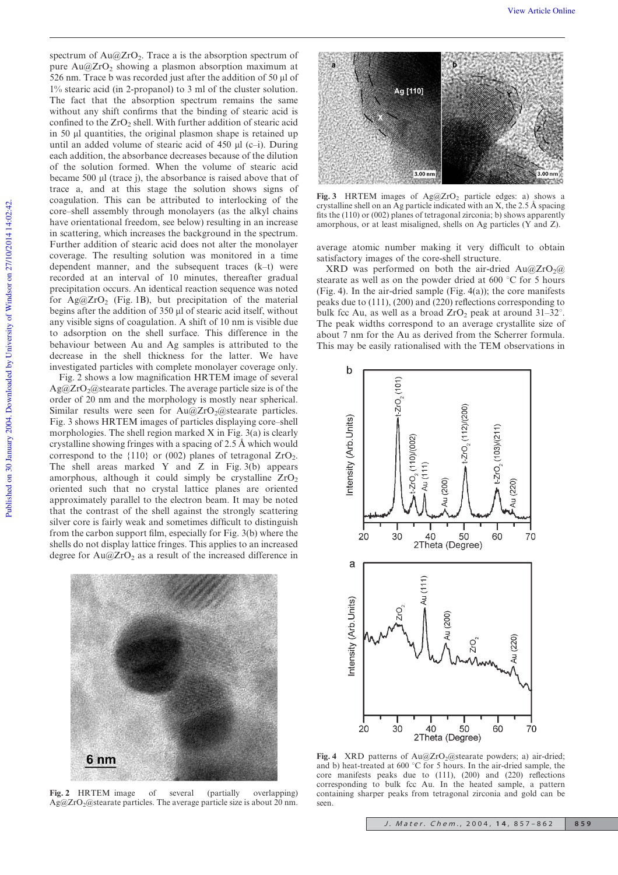spectrum of  $Au@ZrO<sub>2</sub>$ . Trace a is the absorption spectrum of pure  $Au@ZrO<sub>2</sub>$  showing a plasmon absorption maximum at 526 nm. Trace b was recorded just after the addition of 50  $\mu$ l of 1% stearic acid (in 2-propanol) to 3 ml of the cluster solution. The fact that the absorption spectrum remains the same without any shift confirms that the binding of stearic acid is confined to the  $ZrO<sub>2</sub>$  shell. With further addition of stearic acid in 50 ml quantities, the original plasmon shape is retained up until an added volume of stearic acid of  $450 \mu l$  (c–i). During each addition, the absorbance decreases because of the dilution of the solution formed. When the volume of stearic acid became 500 ul (trace j), the absorbance is raised above that of trace a, and at this stage the solution shows signs of coagulation. This can be attributed to interlocking of the core–shell assembly through monolayers (as the alkyl chains have orientational freedom, see below) resulting in an increase in scattering, which increases the background in the spectrum. Further addition of stearic acid does not alter the monolayer coverage. The resulting solution was monitored in a time dependent manner, and the subsequent traces (k–t) were recorded at an interval of 10 minutes, thereafter gradual precipitation occurs. An identical reaction sequence was noted for  $Ag@ZrO<sub>2</sub>$  (Fig. 1B), but precipitation of the material begins after the addition of 350 µl of stearic acid itself, without any visible signs of coagulation. A shift of 10 nm is visible due to adsorption on the shell surface. This difference in the behaviour between Au and Ag samples is attributed to the decrease in the shell thickness for the latter. We have investigated particles with complete monolayer coverage only.

Fig. 2 shows a low magnification HRTEM image of several Ag@ZrO<sub>2</sub>@stearate particles. The average particle size is of the order of 20 nm and the morphology is mostly near spherical. Similar results were seen for  $Au@ZrO_2@$ stearate particles. Fig. 3 shows HRTEM images of particles displaying core–shell morphologies. The shell region marked  $X$  in Fig. 3(a) is clearly crystalline showing fringes with a spacing of 2.5 Å which would correspond to the  $\{110\}$  or (002) planes of tetragonal  $ZrO_2$ . The shell areas marked Y and Z in Fig.  $3(b)$  appears amorphous, although it could simply be crystalline  $ZrO<sub>2</sub>$ oriented such that no crystal lattice planes are oriented approximately parallel to the electron beam. It may be noted that the contrast of the shell against the strongly scattering silver core is fairly weak and sometimes difficult to distinguish from the carbon support film, especially for Fig. 3(b) where the shells do not display lattice fringes. This applies to an increased degree for  $Au@ZrO<sub>2</sub>$  as a result of the increased difference in



Fig. 2 HRTEM image of several (partially overlapping)  $Ag@ZrO_2@$ stearate particles. The average particle size is about 20 nm.



Fig. 3 HRTEM images of  $Ag@ZrO<sub>2</sub>$  particle edges: a) shows a crystalline shell on an Ag particle indicated with an  $X$ , the 2.5 Å spacing fits the (110) or (002) planes of tetragonal zirconia; b) shows apparently amorphous, or at least misaligned, shells on Ag particles (Y and Z).

average atomic number making it very difficult to obtain satisfactory images of the core-shell structure.

XRD was performed on both the air-dried  $Au@ZrO<sub>2</sub>(a)$ stearate as well as on the powder dried at 600  $\degree$ C for 5 hours (Fig. 4). In the air-dried sample (Fig. 4(a)); the core manifests peaks due to (111), (200) and (220) reflections corresponding to bulk fcc Au, as well as a broad  $ZrO<sub>2</sub>$  peak at around 31–32°. The peak widths correspond to an average crystallite size of about 7 nm for the Au as derived from the Scherrer formula. This may be easily rationalised with the TEM observations in



Fig. 4 XRD patterns of  $Au@ZrO<sub>2</sub>(@stearate powders; a) air-dried;$ and b) heat-treated at 600 °C for 5 hours. In the air-dried sample, the core manifests peaks due to (111), (200) and (220) reflections corresponding to bulk fcc Au. In the heated sample, a pattern containing sharper peaks from tetragonal zirconia and gold can be seen.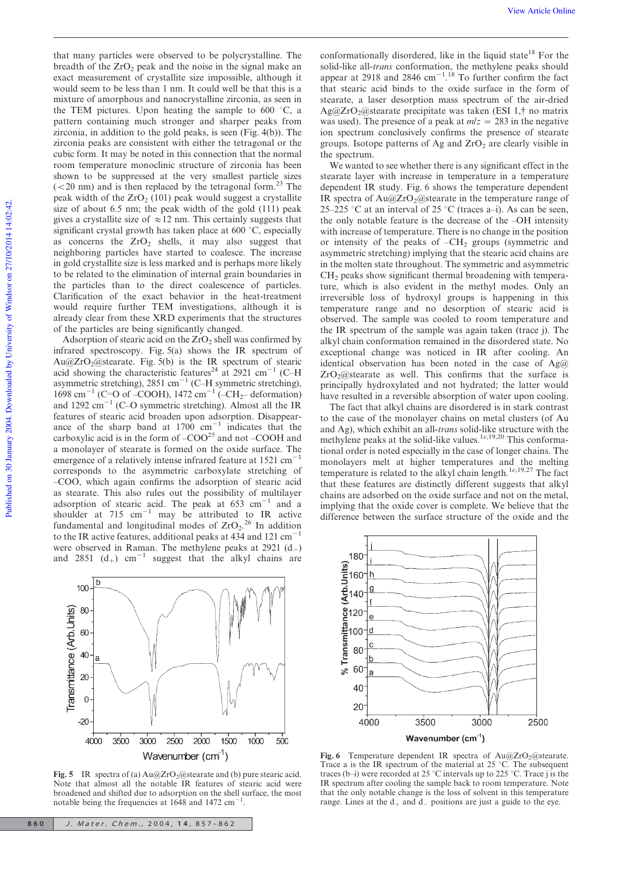that many particles were observed to be polycrystalline. The breadth of the  $ZrO<sub>2</sub>$  peak and the noise in the signal make an exact measurement of crystallite size impossible, although it would seem to be less than 1 nm. It could well be that this is a mixture of amorphous and nanocrystalline zirconia, as seen in the TEM pictures. Upon heating the sample to  $600\degree\text{C}$ , a pattern containing much stronger and sharper peaks from zirconia, in addition to the gold peaks, is seen (Fig. 4(b)). The zirconia peaks are consistent with either the tetragonal or the cubic form. It may be noted in this connection that the normal room temperature monoclinic structure of zirconia has been shown to be suppressed at the very smallest particle sizes  $(< 20$  nm) and is then replaced by the tetragonal form.<sup>23</sup> The peak width of the  $ZrO<sub>2</sub>$  (101) peak would suggest a crystallite size of about 6.5 nm; the peak width of the gold (111) peak gives a crystallite size of  $\approx$  12 nm. This certainly suggests that significant crystal growth has taken place at 600  $^{\circ}$ C, especially as concerns the  $ZrO<sub>2</sub>$  shells, it may also suggest that neighboring particles have started to coalesce. The increase in gold crystallite size is less marked and is perhaps more likely to be related to the elimination of internal grain boundaries in the particles than to the direct coalescence of particles. Clarification of the exact behavior in the heat-treatment would require further TEM investigations, although it is already clear from these XRD experiments that the structures of the particles are being significantly changed.

Adsorption of stearic acid on the  $ZrO<sub>2</sub>$  shell was confirmed by infrared spectroscopy. Fig. 5(a) shows the IR spectrum of  $Au@ZrO<sub>2</sub>@stearate.$  Fig. 5(b) is the IR spectrum of stearic acid showing the characteristic features<sup>24</sup> at 2921 cm<sup>-1</sup> (C-H) asymmetric stretching),  $2851 \text{ cm}^{-1}$  (C-H symmetric stretching),  $1698 \text{ cm}^{-1}$  (C=O of –COOH),  $1472 \text{ cm}^{-1}$  (–CH<sub>2</sub>– deformation) and  $1292 \text{ cm}^{-1}$  (C–O symmetric stretching). Almost all the IR features of stearic acid broaden upon adsorption. Disappearance of the sharp band at  $1700 \text{ cm}^{-1}$  indicates that the carboxylic acid is in the form of  $-COO<sup>25</sup>$  and not  $-COOH$  and a monolayer of stearate is formed on the oxide surface. The emergence of a relatively intense infrared feature at  $1521 \text{ cm}^{-1}$ corresponds to the asymmetric carboxylate stretching of –COO, which again confirms the adsorption of stearic acid as stearate. This also rules out the possibility of multilayer adsorption of stearic acid. The peak at  $653 \text{ cm}^{-1}$  and a shoulder at  $715 \text{ cm}^{-1}$  may be attributed to IR active fundamental and longitudinal modes of  $ZrO<sub>2</sub>$ .<sup>26</sup> In addition to the IR active features, additional peaks at 434 and 121 cm<sup>-</sup> were observed in Raman. The methylene peaks at  $2921 \text{ (d)}$ and 2851  $(d_+)$  cm<sup>-1</sup> suggest that the alkyl chains are



Fig. 5 IR spectra of (a)  $Au@ZrO_2@$  stearate and (b) pure stearic acid. Note that almost all the notable IR features of stearic acid were broadened and shifted due to adsorption on the shell surface, the most notable being the frequencies at 1648 and 1472 cm .

conformationally disordered, like in the liquid state<sup>18</sup> For the solid-like all-*trans* conformation, the methylene peaks should appear at 2918 and 2846 cm<sup>-1</sup>.<sup>18</sup> To further confirm the fact that stearic acid binds to the oxide surface in the form of stearate, a laser desorption mass spectrum of the air-dried Ag@ZrO<sub>2</sub>@stearate precipitate was taken (ESI 1, $\dagger$  no matrix was used). The presence of a peak at  $m/z = 283$  in the negative ion spectrum conclusively confirms the presence of stearate groups. Isotope patterns of Ag and  $ZrO<sub>2</sub>$  are clearly visible in the spectrum.

We wanted to see whether there is any significant effect in the stearate layer with increase in temperature in a temperature dependent IR study. Fig. 6 shows the temperature dependent IR spectra of  $Au@ZrO_2@$ stearate in the temperature range of 25–225 °C at an interval of 25 °C (traces a–i). As can be seen, the only notable feature is the decrease of the –OH intensity with increase of temperature. There is no change in the position or intensity of the peaks of  $-CH<sub>2</sub>$  groups (symmetric and asymmetric stretching) implying that the stearic acid chains are in the molten state throughout. The symmetric and asymmetric CH<sup>2</sup> peaks show significant thermal broadening with temperature, which is also evident in the methyl modes. Only an irreversible loss of hydroxyl groups is happening in this temperature range and no desorption of stearic acid is observed. The sample was cooled to room temperature and the IR spectrum of the sample was again taken (trace j). The alkyl chain conformation remained in the disordered state. No exceptional change was noticed in IR after cooling. An identical observation has been noted in the case of  $Ag@$  $ZrO<sub>2</sub>(@stearate as well. This confirms that the surface is$ principally hydroxylated and not hydrated; the latter would have resulted in a reversible absorption of water upon cooling.

The fact that alkyl chains are disordered is in stark contrast to the case of the monolayer chains on metal clusters (of Au and Ag), which exhibit an all-*trans* solid-like structure with the methylene peaks at the solid-like values.<sup>1*e*,19,20</sup> This conformational order is noted especially in the case of longer chains. The monolayers melt at higher temperatures and the melting temperature is related to the alkyl chain length.<sup>1e,19,27</sup> The fact that these features are distinctly different suggests that alkyl chains are adsorbed on the oxide surface and not on the metal, implying that the oxide cover is complete. We believe that the difference between the surface structure of the oxide and the



Fig. 6 Temperature dependent IR spectra of  $Au@ZrO_2@$ stearate. Trace a is the IR spectrum of the material at  $25 \degree C$ . The subsequent traces (b–i) were recorded at 25 °C intervals up to 225 °C. Trace j is the IR spectrum after cooling the sample back to room temperature. Note that the only notable change is the loss of solvent in this temperature range. Lines at the  $d_+$  and  $d_-$  positions are just a guide to the eye.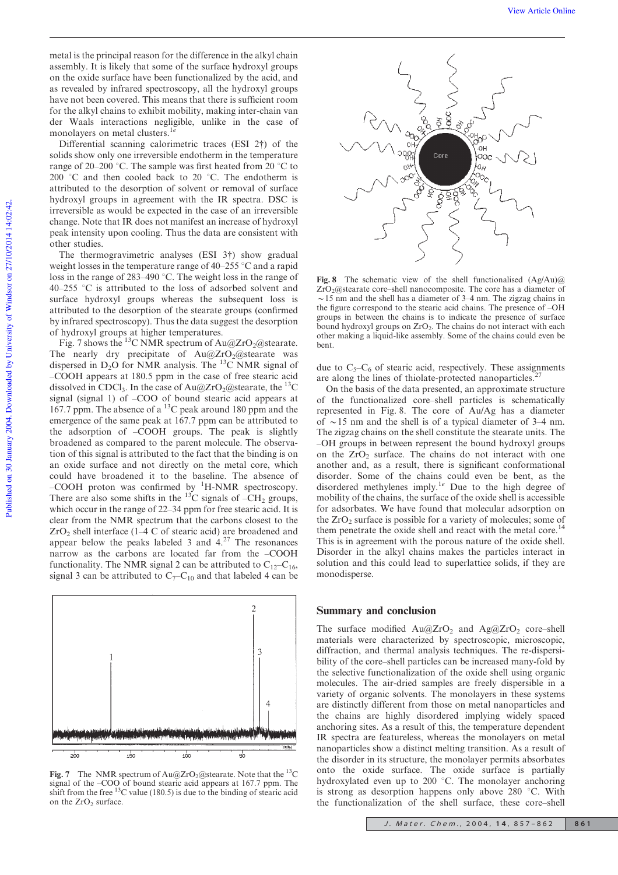metal is the principal reason for the difference in the alkyl chain assembly. It is likely that some of the surface hydroxyl groups on the oxide surface have been functionalized by the acid, and as revealed by infrared spectroscopy, all the hydroxyl groups have not been covered. This means that there is sufficient room for the alkyl chains to exhibit mobility, making inter-chain van der Waals interactions negligible, unlike in the case of monolayers on metal clusters.1*<sup>e</sup>*

Differential scanning calorimetric traces (ESI 2{) of the solids show only one irreversible endotherm in the temperature range of 20–200 °C. The sample was first heated from 20 °C to 200  $\degree$ C and then cooled back to 20  $\degree$ C. The endotherm is attributed to the desorption of solvent or removal of surface hydroxyl groups in agreement with the IR spectra. DSC is irreversible as would be expected in the case of an irreversible change. Note that IR does not manifest an increase of hydroxyl peak intensity upon cooling. Thus the data are consistent with other studies.

The thermogravimetric analyses (ESI  $3\dagger$ ) show gradual weight losses in the temperature range of  $40-255$  °C and a rapid loss in the range of 283–490 °C. The weight loss in the range of  $40-255$  °C is attributed to the loss of adsorbed solvent and surface hydroxyl groups whereas the subsequent loss is attributed to the desorption of the stearate groups (confirmed by infrared spectroscopy). Thus the data suggest the desorption of hydroxyl groups at higher temperatures.

Fig. 7 shows the <sup>13</sup>C NMR spectrum of  $Au@ZrO_2@$ stearate. The nearly dry precipitate of  $Au@ZrO_2@$ stearate was dispersed in D<sub>2</sub>O for NMR analysis. The  $^{13}$ C NMR signal of –COOH appears at 180.5 ppm in the case of free stearic acid dissolved in CDCl<sub>3</sub>. In the case of Au@ZrO<sub>2</sub>@stearate, the <sup>13</sup>C signal (signal 1) of –COO of bound stearic acid appears at 167.7 ppm. The absence of a <sup>13</sup>C peak around 180 ppm and the emergence of the same peak at 167.7 ppm can be attributed to the adsorption of –COOH groups. The peak is slightly broadened as compared to the parent molecule. The observation of this signal is attributed to the fact that the binding is on an oxide surface and not directly on the metal core, which could have broadened it to the baseline. The absence of –COOH proton was confirmed by <sup>1</sup>H-NMR spectroscopy. There are also some shifts in the  $^{13}$ C signals of  $-CH_2$  groups, which occur in the range of 22–34 ppm for free stearic acid. It is clear from the NMR spectrum that the carbons closest to the  $ZrO<sub>2</sub>$  shell interface (1–4 C of stearic acid) are broadened and appear below the peaks labeled 3 and  $4.27$  The resonances narrow as the carbons are located far from the –COOH functionality. The NMR signal 2 can be attributed to  $C_{12}-C_{16}$ , signal 3 can be attributed to  $C_7 - C_{10}$  and that labeled 4 can be



Fig. 7 The NMR spectrum of  $Au@ZrO_2@$ stearate. Note that the <sup>13</sup>C signal of the  $\sim$ COO of bound stearic acid appears at 167.7 ppm. The shift from the free  $^{13}$ C value (180.5) is due to the binding of stearic acid on the  $ZrO<sub>2</sub>$  surface.



Fig. 8 The schematic view of the shell functionalised  $(Ag/Au)\omega$  $ZrO<sub>2</sub>@stearate core-shell nanocomposite.$  The core has a diameter of  $\sim$ 15 nm and the shell has a diameter of 3–4 nm. The zigzag chains in the figure correspond to the stearic acid chains. The presence of –OH groups in between the chains is to indicate the presence of surface bound hydroxyl groups on  $ZrO<sub>2</sub>$ . The chains do not interact with each other making a liquid-like assembly. Some of the chains could even be bent.

due to  $C_5-C_6$  of stearic acid, respectively. These assignments are along the lines of thiolate-protected nanoparticles.<sup>2</sup>

On the basis of the data presented, an approximate structure of the functionalized core–shell particles is schematically represented in Fig. 8. The core of Au/Ag has a diameter of  $\sim$  15 nm and the shell is of a typical diameter of 3–4 nm. The zigzag chains on the shell constitute the stearate units. The –OH groups in between represent the bound hydroxyl groups on the  $ZrO<sub>2</sub>$  surface. The chains do not interact with one another and, as a result, there is significant conformational disorder. Some of the chains could even be bent, as the disordered methylenes imply.<sup>1*e*</sup> Due to the high degree of mobility of the chains, the surface of the oxide shell is accessible for adsorbates. We have found that molecular adsorption on the  $ZrO<sub>2</sub>$  surface is possible for a variety of molecules; some of them penetrate the oxide shell and react with the metal core.<sup>14</sup> This is in agreement with the porous nature of the oxide shell. Disorder in the alkyl chains makes the particles interact in solution and this could lead to superlattice solids, if they are monodisperse.

# Summary and conclusion

The surface modified  $Au@ZrO<sub>2</sub>$  and  $Ag@ZrO<sub>2</sub>$  core–shell materials were characterized by spectroscopic, microscopic, diffraction, and thermal analysis techniques. The re-dispersibility of the core–shell particles can be increased many-fold by the selective functionalization of the oxide shell using organic molecules. The air-dried samples are freely dispersible in a variety of organic solvents. The monolayers in these systems are distinctly different from those on metal nanoparticles and the chains are highly disordered implying widely spaced anchoring sites. As a result of this, the temperature dependent IR spectra are featureless, whereas the monolayers on metal nanoparticles show a distinct melting transition. As a result of the disorder in its structure, the monolayer permits absorbates onto the oxide surface. The oxide surface is partially hydroxylated even up to 200  $^{\circ}$ C. The monolayer anchoring is strong as desorption happens only above 280  $°C$ . With the functionalization of the shell surface, these core–shell